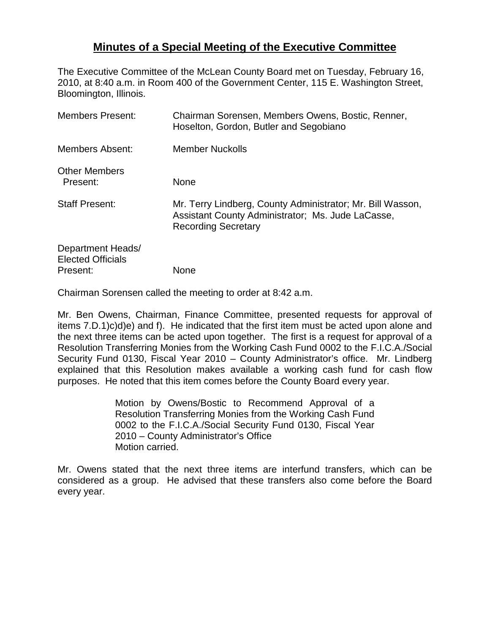## **Minutes of a Special Meeting of the Executive Committee**

The Executive Committee of the McLean County Board met on Tuesday, February 16, 2010, at 8:40 a.m. in Room 400 of the Government Center, 115 E. Washington Street, Bloomington, Illinois.

| <b>Members Present:</b>                                   | Chairman Sorensen, Members Owens, Bostic, Renner,<br>Hoselton, Gordon, Butler and Segobiano                                                   |
|-----------------------------------------------------------|-----------------------------------------------------------------------------------------------------------------------------------------------|
| <b>Members Absent:</b>                                    | <b>Member Nuckolls</b>                                                                                                                        |
| <b>Other Members</b><br>Present:                          | None                                                                                                                                          |
| <b>Staff Present:</b>                                     | Mr. Terry Lindberg, County Administrator; Mr. Bill Wasson,<br>Assistant County Administrator; Ms. Jude LaCasse,<br><b>Recording Secretary</b> |
| Department Heads/<br><b>Elected Officials</b><br>Present: | None                                                                                                                                          |

Chairman Sorensen called the meeting to order at 8:42 a.m.

Mr. Ben Owens, Chairman, Finance Committee, presented requests for approval of items 7.D.1)c)d)e) and f). He indicated that the first item must be acted upon alone and the next three items can be acted upon together. The first is a request for approval of a Resolution Transferring Monies from the Working Cash Fund 0002 to the F.I.C.A./Social Security Fund 0130, Fiscal Year 2010 – County Administrator's office. Mr. Lindberg explained that this Resolution makes available a working cash fund for cash flow purposes. He noted that this item comes before the County Board every year.

> Motion by Owens/Bostic to Recommend Approval of a Resolution Transferring Monies from the Working Cash Fund 0002 to the F.I.C.A./Social Security Fund 0130, Fiscal Year 2010 – County Administrator's Office Motion carried.

Mr. Owens stated that the next three items are interfund transfers, which can be considered as a group. He advised that these transfers also come before the Board every year.